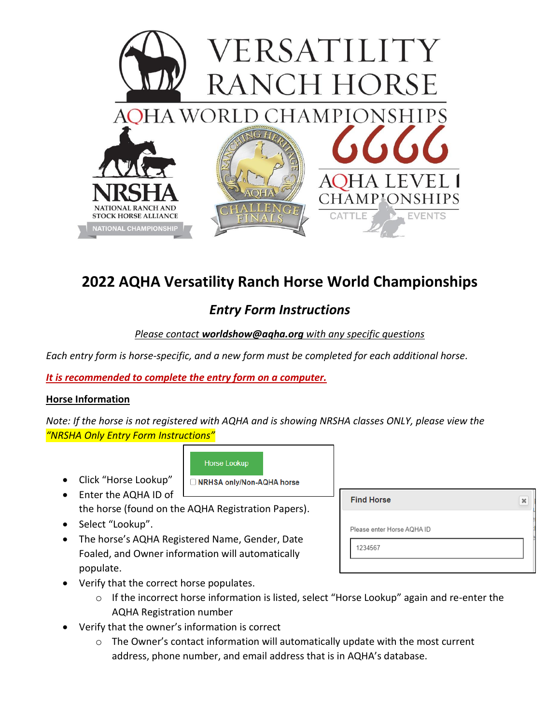

# **2022 AQHA Versatility Ranch Horse World Championships**

## *Entry Form Instructions*

## *Please contact worldshow@aqha.org with any specific questions*

*Each entry form is horse-specific, and a new form must be completed for each additional horse.*

*It is recommended to complete the entry form on a computer.*

### **Horse Information**

*Note: If the horse is not registered with AQHA and is showing NRSHA classes ONLY, please view the "NRSHA Only Entry Form Instructions"*

**Horse Lookup** 

□ NRHSA only/Non-AQHA horse

- Click "Horse Lookup"
- Enter the AQHA ID of the horse (found on the AQHA Registration Papers).
- Select "Lookup".
- The horse's AQHA Registered Name, Gender, Date Foaled, and Owner information will automatically populate.

| <b>Find Horse</b>          | $\boldsymbol{\times}$ |
|----------------------------|-----------------------|
| Please enter Horse AQHA ID |                       |
| 1234567                    |                       |

- Verify that the correct horse populates.
	- o If the incorrect horse information is listed, select "Horse Lookup" again and re-enter the AQHA Registration number
- Verify that the owner's information is correct
	- o The Owner's contact information will automatically update with the most current address, phone number, and email address that is in AQHA's database.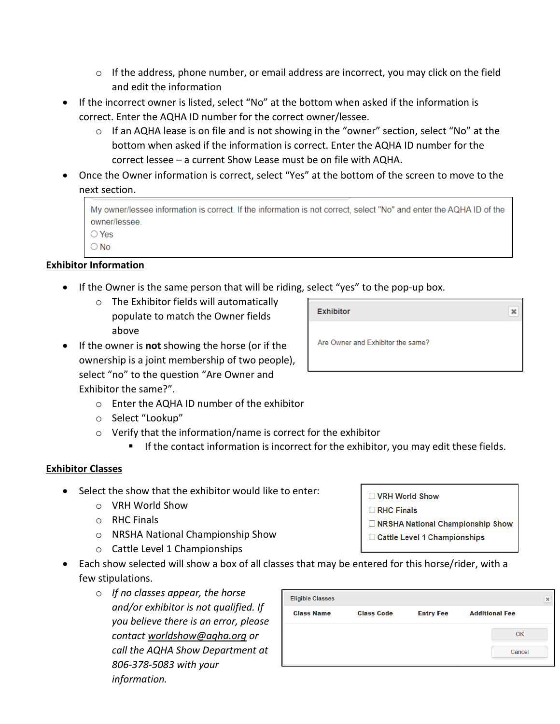- $\circ$  If the address, phone number, or email address are incorrect, you may click on the field and edit the information
- If the incorrect owner is listed, select "No" at the bottom when asked if the information is correct. Enter the AQHA ID number for the correct owner/lessee.
	- o If an AQHA lease is on file and is not showing in the "owner" section, select "No" at the bottom when asked if the information is correct. Enter the AQHA ID number for the correct lessee – a current Show Lease must be on file with AQHA.
- Once the Owner information is correct, select "Yes" at the bottom of the screen to move to the next section.

| My owner/lessee information is correct. If the information is not correct, select "No" and enter the AQHA ID of the |
|---------------------------------------------------------------------------------------------------------------------|
| owner/lessee.                                                                                                       |
| ◯ Yes                                                                                                               |
| $\bigcirc$ No                                                                                                       |

## **Exhibitor Information**

- If the Owner is the same person that will be riding, select "yes" to the pop-up box.
	- o The Exhibitor fields will automatically populate to match the Owner fields above
- If the owner is **not** showing the horse (or if the ownership is a joint membership of two people), select "no" to the question "Are Owner and Exhibitor the same?".
	- o Enter the AQHA ID number of the exhibitor
	- o Select "Lookup"
	- o Verify that the information/name is correct for the exhibitor
		- If the contact information is incorrect for the exhibitor, you may edit these fields.

## **Exhibitor Classes**

- Select the show that the exhibitor would like to enter:
	- o VRH World Show
	- o RHC Finals
	- o NRSHA National Championship Show
	- o Cattle Level 1 Championships
- Each show selected will show a box of all classes that may be entered for this horse/rider, with a few stipulations.
	- o *If no classes appear, the horse and/or exhibitor is not qualified. If you believe there is an error, please contact [worldshow@aqha.org](mailto:worldshow@aqha.org) or call the AQHA Show Department at 806-378-5083 with your information.*

| <b>Eligible Classes</b> |                   |                  |                       | $\pmb{\times}$ |
|-------------------------|-------------------|------------------|-----------------------|----------------|
| <b>Class Name</b>       | <b>Class Code</b> | <b>Entry Fee</b> | <b>Additional Fee</b> |                |
|                         |                   |                  | OK                    |                |
|                         |                   |                  | Cancel                |                |
|                         |                   |                  |                       |                |

**Exhibitor**  $\mathbf{x}$ Are Owner and Exhibitor the same?

- □ VRH World Show
- RHC Finals
- ONRSHA National Championship Show
- □ Cattle Level 1 Championships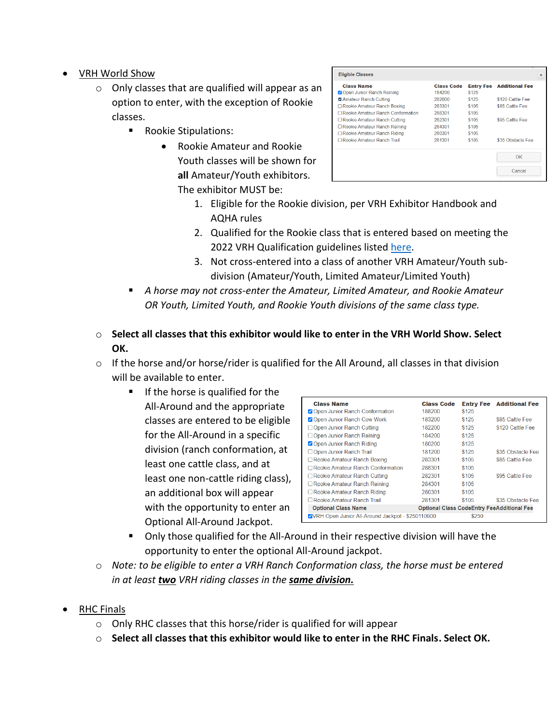- VRH World Show
	- o Only classes that are qualified will appear as an option to enter, with the exception of Rookie classes.
		- Rookie Stipulations:
			- Rookie Amateur and Rookie Youth classes will be shown for **all** Amateur/Youth exhibitors. The exhibitor MUST be:

| <b>Class Name</b>                   | <b>Class Code</b> | <b>Entry Fee</b> | <b>Additional Fee</b> |
|-------------------------------------|-------------------|------------------|-----------------------|
| Open Junior Ranch Reining           | 184200            | \$125            |                       |
| <b>Z</b> Amateur Ranch Cutting      | 282000            | \$125            | \$120 Cattle Fee      |
| □ Rookie Amateur Ranch Boxing       | 283301            | \$105            | \$85 Cattle Fee       |
| □ Rookie Amateur Ranch Conformation | 288301            | \$105            |                       |
| □ Rookie Amateur Ranch Cutting      | 282301            | \$105            | \$95 Cattle Fee       |
| □ Rookie Amateur Ranch Reining      | 284301            | \$105            |                       |
| □ Rookie Amateur Ranch Riding       | 280301            | \$105            |                       |
| □ Rookie Amateur Ranch Trail        | 281301            | \$105            | \$35 Obstacle Fee     |
|                                     |                   |                  | OK                    |
|                                     |                   |                  | Cancel                |

- 1. Eligible for the Rookie division, per VRH Exhibitor Handbook and AQHA rules
- 2. Qualified for the Rookie class that is entered based on meeting the 2022 VRH Qualification guidelines listed [here.](https://www.aqha.com/documents/82601/229351030/2022+VRH+World+Show+Qualifying+Requirements.pdf/38a148a9-73ee-839e-ea3d-805917c56308?t=1626450472107)
- 3. Not cross-entered into a class of another VRH Amateur/Youth subdivision (Amateur/Youth, Limited Amateur/Limited Youth)
- A horse may not cross-enter the Amateur, Limited Amateur, and Rookie Amateur *OR Youth, Limited Youth, and Rookie Youth divisions of the same class type.*
- o **Select all classes that this exhibitor would like to enter in the VRH World Show. Select OK.**
- $\circ$  If the horse and/or horse/rider is qualified for the All Around, all classes in that division will be available to enter.
	- If the horse is qualified for the All-Around and the appropriate classes are entered to be eligible for the All-Around in a specific division (ranch conformation, at least one cattle class, and at least one non-cattle riding class), an additional box will appear with the opportunity to enter an Optional All-Around Jackpot.

| <b>Class Name</b><br>Open Junior Ranch Conformation | <b>Class Code</b><br>188200                       | \$125 | <b>Entry Fee</b> Additional Fee |
|-----------------------------------------------------|---------------------------------------------------|-------|---------------------------------|
| Open Junior Ranch Cow Work                          | 183200                                            | \$125 | \$85 Cattle Fee                 |
| □ Open Junior Ranch Cutting                         | 182200                                            | \$125 | \$120 Cattle Fee                |
| □ Open Junior Ranch Reining                         | 184200                                            | \$125 |                                 |
| Open Junior Ranch Riding                            | 180200                                            | \$125 |                                 |
| □ Open Junior Ranch Trail                           | 181200                                            | \$125 | \$35 Obstacle Fee               |
| □ Rookie Amateur Ranch Boxing                       | 283301                                            | \$105 | \$85 Cattle Fee                 |
| □ Rookie Amateur Ranch Conformation                 | 288301                                            | \$105 |                                 |
| □ Rookie Amateur Ranch Cutting                      | 282301                                            | \$105 | \$95 Cattle Fee                 |
| □ Rookie Amateur Ranch Reining                      | 284301                                            | \$105 |                                 |
| □ Rookie Amateur Ranch Riding                       | 280301                                            | \$105 |                                 |
| Rookie Amateur Ranch Trail                          | 281301                                            | \$105 | \$35 Obstacle Fee               |
| <b>Optional Class Name</b>                          | <b>Optional Class CodeEntry FeeAdditional Fee</b> |       |                                 |
| VVRH Open Junior All-Around Jackpot - \$250110900   |                                                   | \$250 |                                 |

- Only those qualified for the All-Around in their respective division will have the opportunity to enter the optional All-Around jackpot.
- o *Note: to be eligible to enter a VRH Ranch Conformation class, the horse must be entered in at least two VRH riding classes in the same division.*
- RHC Finals
	- o Only RHC classes that this horse/rider is qualified for will appear
	- o **Select all classes that this exhibitor would like to enter in the RHC Finals. Select OK.**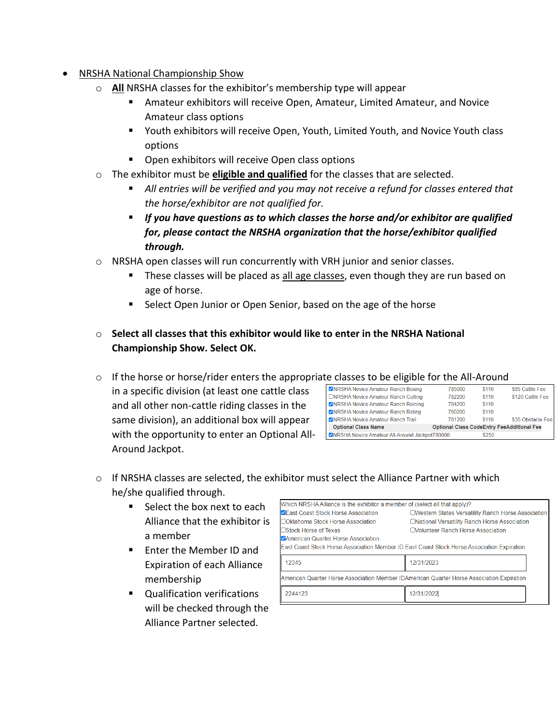- NRSHA National Championship Show
	- o **All** NRSHA classes for the exhibitor's membership type will appear
		- **E** Amateur exhibitors will receive Open, Amateur, Limited Amateur, and Novice Amateur class options
		- Youth exhibitors will receive Open, Youth, Limited Youth, and Novice Youth class options
		- Open exhibitors will receive Open class options
	- o The exhibitor must be **eligible and qualified** for the classes that are selected.
		- All entries will be verified and you may not receive a refund for classes entered that *the horse/exhibitor are not qualified for.*
		- *If you have questions as to which classes the horse and/or exhibitor are qualified for, please contact the NRSHA organization that the horse/exhibitor qualified through.*
	- o NRSHA open classes will run concurrently with VRH junior and senior classes.
		- **These classes will be placed as all age classes, even though they are run based on** age of horse.
		- Select Open Junior or Open Senior, based on the age of the horse
	- o **Select all classes that this exhibitor would like to enter in the NRSHA National Championship Show. Select OK.**

o If the horse or horse/rider enters the appropriate classes to be eligible for the All-Around

in a specific division (at least one cattle class and all other non-cattle riding classes in the same division), an additional box will appear with the opportunity to enter an Optional All-Around Jackpot.

| .                                              |                                                   |       |                   |
|------------------------------------------------|---------------------------------------------------|-------|-------------------|
| VNRSHA Novice Amateur Ranch Boxing             | 785000                                            | \$110 | \$85 Cattle Fee   |
| □NRSHA Novice Amateur Ranch Cutting            | 782200                                            | \$110 | \$120 Cattle Fee  |
| ZNRSHA Novice Amateur Ranch Reining            | 784200                                            | \$110 |                   |
| VNRSHA Novice Amateur Ranch Riding             | 780200                                            | \$110 |                   |
| <b>ZNRSHA Novice Amateur Ranch Trail</b>       | 781200                                            | \$110 | \$35 Obstacle Fee |
| <b>Optional Class Name</b>                     | <b>Optional Class CodeEntry FeeAdditional Fee</b> |       |                   |
| ZNRSHA Novice Amateur All-Around Jackpot780000 |                                                   | \$250 |                   |

- $\circ$  If NRSHA classes are selected, the exhibitor must select the Alliance Partner with which he/she qualified through.
	- Select the box next to each Alliance that the exhibitor is a member
	- Enter the Member ID and Expiration of each Alliance membership
	- Qualification verifications will be checked through the Alliance Partner selected.

| Which NRSHA Alliance is the exhibitor a member of (select all that apply)? |                                                                                              |
|----------------------------------------------------------------------------|----------------------------------------------------------------------------------------------|
| <b>ZEast Coast Stock Horse Association</b>                                 | <b>EWestern States Versatility Ranch Horse Association</b>                                   |
| □Oklahoma Stock Horse Association                                          | □National Versatility Ranch Horse Association                                                |
| □Stock Horse of Texas                                                      | Molunteer Ranch Horse Association                                                            |
| <b>ZAmerican Quarter Horse Association</b>                                 |                                                                                              |
|                                                                            | East Coast Stock Horse Association Member ID: East Coast Stock Horse Association Expiration: |
| 12345                                                                      | 12/31/2023                                                                                   |
|                                                                            | American Quarter Horse Association Member IDAmerican Quarter Horse Association Expiration    |
| 2244123                                                                    | 12/31/2022                                                                                   |
|                                                                            |                                                                                              |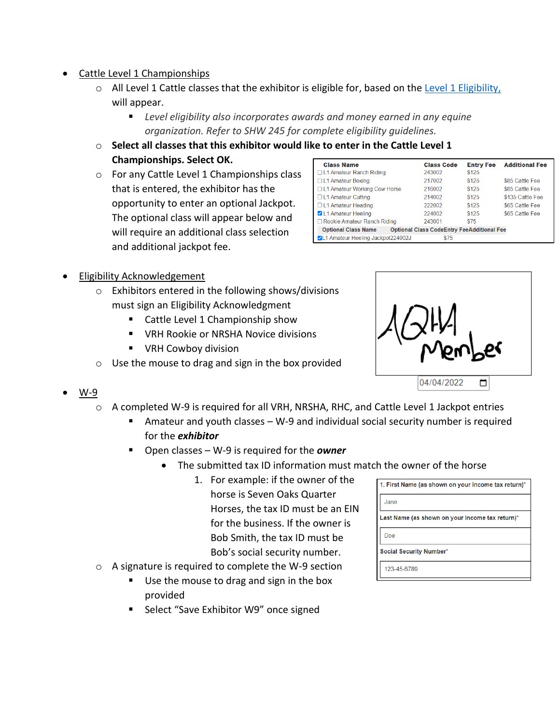- Cattle Level 1 Championships
	- o All Level 1 Cattle classes that the exhibitor is eligible for, based on the [Level 1 Eligibility,](https://www.aqha.com/find-your-level) will appear.
		- Level eligibility also incorporates awards and money earned in any equine *organization. Refer to SHW 245 for complete eligibility guidelines.*
	- o **Select all classes that this exhibitor would like to enter in the Cattle Level 1 Championships. Select OK.**
	- o For any Cattle Level 1 Championships class that is entered, the exhibitor has the opportunity to enter an optional Jackpot. The optional class will appear below and will require an additional class selection and additional jackpot fee.

| <b>Class Name</b>                  | <b>Class Code</b>                                 | <b>Entry Fee</b> | <b>Additional Fee</b> |
|------------------------------------|---------------------------------------------------|------------------|-----------------------|
| □ L1 Amateur Ranch Riding          | 243002                                            | \$125            |                       |
| □ L1 Amateur Boxing                | 217002                                            | \$125            | \$85 Cattle Fee       |
| □ L1 Amateur Working Cow Horse     | 216002                                            | \$125            | \$85 Cattle Fee       |
| □L1 Amateur Cutting                | 214002                                            | \$125            | \$135 Cattle Fee      |
| □L1 Amateur Heading                | 222002                                            | \$125            | \$65 Cattle Fee       |
| L1 Amateur Heeling                 | 224002                                            | \$125            | \$65 Cattle Fee       |
| □ Rookie Amateur Ranch Riding      | 243001                                            | \$75             |                       |
| <b>Optional Class Name</b>         | <b>Optional Class CodeEntry FeeAdditional Fee</b> |                  |                       |
| VL1 Amateur Heeling Jackpot224002J | \$75                                              |                  |                       |
|                                    |                                                   |                  |                       |

- Eligibility Acknowledgement
	- o Exhibitors entered in the following shows/divisions must sign an Eligibility Acknowledgment
		- Cattle Level 1 Championship show
		- VRH Rookie or NRSHA Novice divisions
		- VRH Cowboy division
	- o Use the mouse to drag and sign in the box provided



- W-9
	- o A completed W-9 is required for all VRH, NRSHA, RHC, and Cattle Level 1 Jackpot entries
		- Amateur and youth classes W-9 and individual social security number is required for the *exhibitor*
		- Open classes W-9 is required for the **owner** 
			- The submitted tax ID information must match the owner of the horse
				- 1. For example: if the owner of the horse is Seven Oaks Quarter Horses, the tax ID must be an EIN for the business. If the owner is Bob Smith, the tax ID must be Bob's social security number.
	- o A signature is required to complete the W-9 section
		- Use the mouse to drag and sign in the box provided
		- Select "Save Exhibitor W9" once signed

| 1. First Name (as shown on your income tax return)* |
|-----------------------------------------------------|
| Jane                                                |
| Last Name (as shown on your income tax return)*     |
| Doe                                                 |
| Social Security Number*                             |
| 123-45-6789                                         |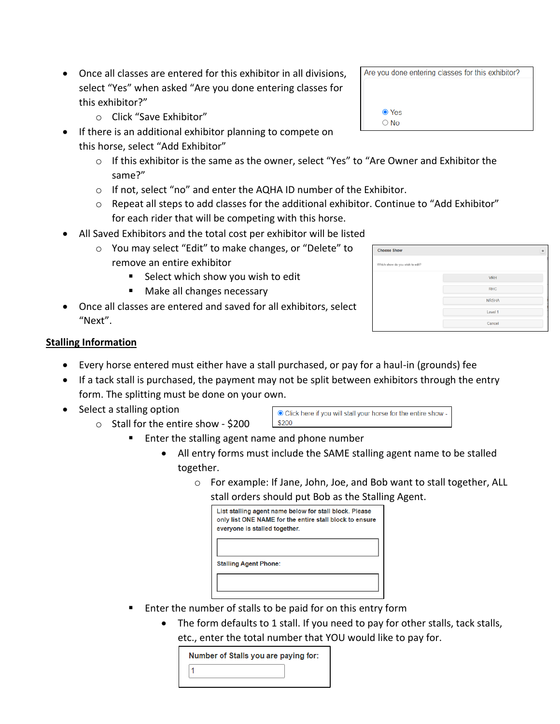- Once all classes are entered for this exhibitor in all divisions, select "Yes" when asked "Are you done entering classes for this exhibitor?"
	- o Click "Save Exhibitor"
- If there is an additional exhibitor planning to compete on this horse, select "Add Exhibitor"
	- o If this exhibitor is the same as the owner, select "Yes" to "Are Owner and Exhibitor the same?"
	- o If not, select "no" and enter the AQHA ID number of the Exhibitor.
	- $\circ$  Repeat all steps to add classes for the additional exhibitor. Continue to "Add Exhibitor" for each rider that will be competing with this horse.
- All Saved Exhibitors and the total cost per exhibitor will be listed
	- o You may select "Edit" to make changes, or "Delete" to remove an entire exhibitor
		- Select which show you wish to edit
		- Make all changes necessary
- Once all classes are entered and saved for all exhibitors, select "Next".

| ● Yes<br>$\overline{\bigcirc}$ No |  |
|-----------------------------------|--|
|                                   |  |
|                                   |  |

Are you done entering classes for this exhibitor?

| <b>Choose Show</b>              |              | $\pmb{\times}$ |
|---------------------------------|--------------|----------------|
| Which show do you wish to edit? |              |                |
|                                 | <b>VRH</b>   |                |
|                                 | <b>RHC</b>   |                |
|                                 | <b>NRSHA</b> |                |
|                                 | Level 1      |                |
|                                 | Cancel       |                |

#### **Stalling Information**

- Every horse entered must either have a stall purchased, or pay for a haul-in (grounds) fee
- If a tack stall is purchased, the payment may not be split between exhibitors through the entry form. The splitting must be done on your own.
- Select a stalling option
	- o Stall for the entire show \$200



- Enter the stalling agent name and phone number
	- All entry forms must include the SAME stalling agent name to be stalled together.
		- o For example: If Jane, John, Joe, and Bob want to stall together, ALL stall orders should put Bob as the Stalling Agent.

| List stalling agent name below for stall block. Please<br>only list ONE NAME for the entire stall block to ensure<br>everyone is stalled together. |
|----------------------------------------------------------------------------------------------------------------------------------------------------|
| <b>Stalling Agent Phone:</b>                                                                                                                       |
|                                                                                                                                                    |

- Enter the number of stalls to be paid for on this entry form
	- The form defaults to 1 stall. If you need to pay for other stalls, tack stalls, etc., enter the total number that YOU would like to pay for.

| Number of Stalls you are paying for: |  |  |
|--------------------------------------|--|--|
|                                      |  |  |
|                                      |  |  |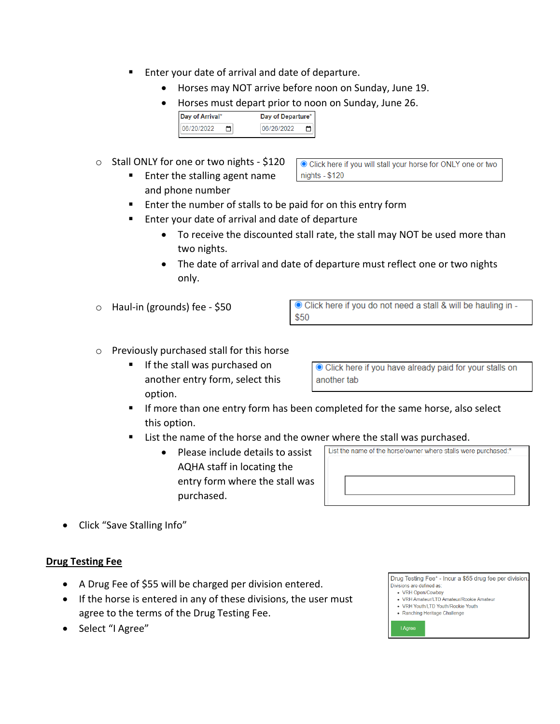- Enter your date of arrival and date of departure.
	- Horses may NOT arrive before noon on Sunday, June 19.
	- Horses must depart prior to noon on Sunday, June 26.

| Day of Arrival*  | Day of Departure* |
|------------------|-------------------|
| ככחכ <i>ו</i> חכ | ררחרוםנ           |

- o Stall ONLY for one or two nights \$120
	- Enter the stalling agent name and phone number

● Click here if you will stall your horse for ONLY one or two nights - \$120

- Enter the number of stalls to be paid for on this entry form
- Enter your date of arrival and date of departure
	- To receive the discounted stall rate, the stall may NOT be used more than two nights.
	- The date of arrival and date of departure must reflect one or two nights only.
- o Haul-in (grounds) fee \$50

O Click here if you do not need a stall & will be hauling in -\$50

- o Previously purchased stall for this horse
	- If the stall was purchased on another entry form, select this option.

Click here if you have already paid for your stalls on another tab

- **If more than one entry form has been completed for the same horse, also select** this option.
- List the name of the horse and the owner where the stall was purchased.
	- Please include details to assist AQHA staff in locating the entry form where the stall was purchased.

| List the name of the horse/owner where stalls were purchased:* |  |  |
|----------------------------------------------------------------|--|--|
|                                                                |  |  |
|                                                                |  |  |
|                                                                |  |  |
|                                                                |  |  |
|                                                                |  |  |
|                                                                |  |  |

• Click "Save Stalling Info"

#### **Drug Testing Fee**

- A Drug Fee of \$55 will be charged per division entered.
- If the horse is entered in any of these divisions, the user must agree to the terms of the Drug Testing Fee.
- Select "I Agree"

Drug Testing Fee\* - Incur a \$55 drug fee per division Divisions are defined as:

- VRH Open/Cowboy · VRH Amateur/LTD Amateur/Rookie Amateur
- VRH Youth/LTD Youth/Rookie Youth
- Ranching Heritage Challenge

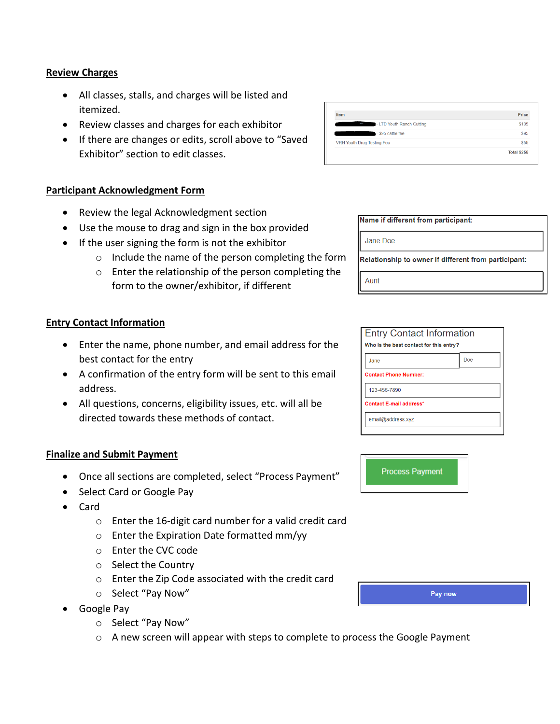#### **Review Charges**

- All classes, stalls, and charges will be listed and itemized.
- Review classes and charges for each exhibitor
- If there are changes or edits, scroll above to "Saved Exhibitor" section to edit classes.

#### **Participant Acknowledgment Form**

- Review the legal Acknowledgment section
- Use the mouse to drag and sign in the box provided
- If the user signing the form is not the exhibitor
	- o Include the name of the person completing the form
	- o Enter the relationship of the person completing the form to the owner/exhibitor, if different

#### **Entry Contact Information**

- Enter the name, phone number, and email address for the best contact for the entry
- A confirmation of the entry form will be sent to this email address.
- All questions, concerns, eligibility issues, etc. will all be directed towards these methods of contact.

#### **Finalize and Submit Payment**

- Once all sections are completed, select "Process Payment"
- Select Card or Google Pay
- Card
	- o Enter the 16-digit card number for a valid credit card
	- o Enter the Expiration Date formatted mm/yy
	- o Enter the CVC code
	- o Select the Country
	- o Enter the Zip Code associated with the credit card
	- o Select "Pay Now"
- Google Pay
	- o Select "Pay Now"
	- o A new screen will appear with steps to complete to process the Google Payment

| <b>Item</b>                    | Price       |
|--------------------------------|-------------|
| - LTD Youth Ranch Cutting<br>l | \$105       |
| - \$95 cattle fee              | \$95        |
| VRH Youth Drug Testing Fee     | \$55        |
|                                | Total \$255 |

Name if different from narticinant:

| Jane Doe |                                                      |
|----------|------------------------------------------------------|
|          | Relationship to owner if different from participant: |

Aunt

| <b>Entry Contact Information</b><br>Who is the best contact for this entry? |     |  |
|-----------------------------------------------------------------------------|-----|--|
| Jane                                                                        | Doe |  |
| <b>Contact Phone Number:</b>                                                |     |  |
| 123-456-7890                                                                |     |  |
| Contact E-mail address*                                                     |     |  |
| email@address.xyz                                                           |     |  |
|                                                                             |     |  |



Pay now